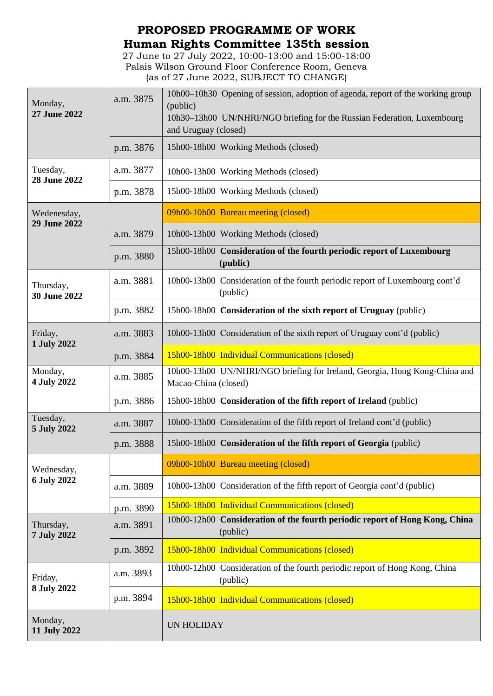## **PROPOSED PROGRAMME OF WORK Human Rights Committee 135th session**

27 June to 27 July 2022, 10:00-13:00 and 15:00-18:00 Palais Wilson Ground Floor Conference Room, Geneva (as of 27 June 2022, SUBJECT TO CHANGE)

| Monday,<br>27 June 2022       | a.m. 3875 | 10h00–10h30 Opening of session, adoption of agenda, report of the working group<br>(public)<br>10h30–13h00 UN/NHRI/NGO briefing for the Russian Federation, Luxembourg<br>and Uruguay (closed) |
|-------------------------------|-----------|------------------------------------------------------------------------------------------------------------------------------------------------------------------------------------------------|
|                               | p.m. 3876 | 15h00-18h00 Working Methods (closed)                                                                                                                                                           |
| Tuesday,<br>28 June 2022      | a.m. 3877 | 10h00-13h00 Working Methods (closed)                                                                                                                                                           |
|                               | p.m. 3878 | 15h00-18h00 Working Methods (closed)                                                                                                                                                           |
| Wedenesday,<br>29 June 2022   |           | 09h00-10h00 Bureau meeting (closed)                                                                                                                                                            |
|                               | a.m. 3879 | 10h00-13h00 Working Methods (closed)                                                                                                                                                           |
|                               | p.m. 3880 | 15h00-18h00 Consideration of the fourth periodic report of Luxembourg<br>(public)                                                                                                              |
| Thursday,<br>30 June 2022     | a.m. 3881 | 10h00-13h00 Consideration of the fourth periodic report of Luxembourg cont'd<br>(public)                                                                                                       |
|                               | p.m. 3882 | 15h00-18h00 Consideration of the sixth report of Uruguay (public)                                                                                                                              |
| Friday,<br>1 July 2022        | a.m. 3883 | 10h00-13h00 Consideration of the sixth report of Uruguay cont'd (public)                                                                                                                       |
|                               | p.m. 3884 | 15h00-18h00 Individual Communications (closed)                                                                                                                                                 |
| Monday,<br>4 July 2022        | a.m. 3885 | 10h00-13h00 UN/NHRI/NGO briefing for Ireland, Georgia, Hong Kong-China and<br>Macao-China (closed)                                                                                             |
|                               | p.m. 3886 | 15h00-18h00 Consideration of the fifth report of Ireland (public)                                                                                                                              |
| Tuesday,<br>5 July 2022       | a.m. 3887 | 10h00-13h00 Consideration of the fifth report of Ireland cont'd (public)                                                                                                                       |
|                               | p.m. 3888 | 15h00-18h00 Consideration of the fifth report of Georgia (public)                                                                                                                              |
| Wednesday,<br>6 July 2022     |           | 09h00-10h00 Bureau meeting (closed)                                                                                                                                                            |
|                               | a.m. 3889 | 10h00-13h00 Consideration of the fifth report of Georgia cont'd (public)                                                                                                                       |
|                               | p.m. 3890 | 15h00-18h00 Individual Communications (closed)                                                                                                                                                 |
| Thursday,<br>7 July 2022      | a.m. 3891 | 10h00-12h00 Consideration of the fourth periodic report of Hong Kong, China<br>(public)                                                                                                        |
|                               | p.m. 3892 | 15h00-18h00 Individual Communications (closed)                                                                                                                                                 |
| Friday,<br><b>8 July 2022</b> | a.m. 3893 | 10h00-12h00 Consideration of the fourth periodic report of Hong Kong, China<br>(public)                                                                                                        |
|                               | p.m. 3894 | 15h00-18h00 Individual Communications (closed)                                                                                                                                                 |
| Monday,<br>11 July 2022       |           | <b>UN HOLIDAY</b>                                                                                                                                                                              |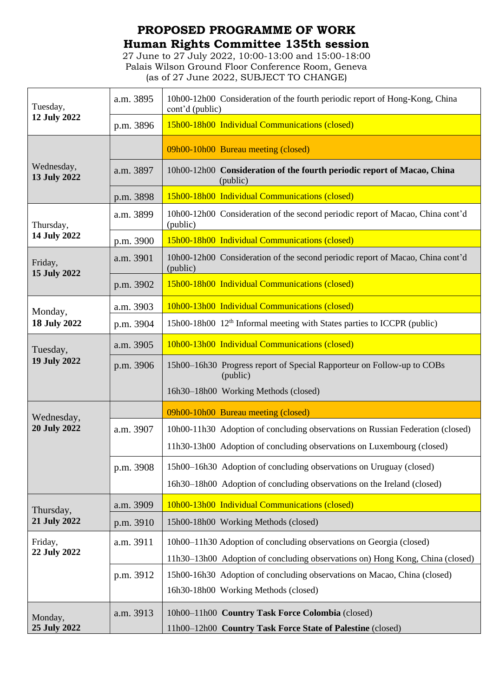## **PROPOSED PROGRAMME OF WORK Human Rights Committee 135th session**

27 June to 27 July 2022, 10:00-13:00 and 15:00-18:00 Palais Wilson Ground Floor Conference Room, Geneva (as of 27 June 2022, SUBJECT TO CHANGE)

| Tuesday,<br>12 July 2022       | a.m. 3895 | 10h00-12h00 Consideration of the fourth periodic report of Hong-Kong, China<br>cont'd (public)                 |
|--------------------------------|-----------|----------------------------------------------------------------------------------------------------------------|
|                                | p.m. 3896 | 15h00-18h00 Individual Communications (closed)                                                                 |
| Wednesday,<br>13 July 2022     |           | 09h00-10h00 Bureau meeting (closed)                                                                            |
|                                | a.m. 3897 | 10h00-12h00 Consideration of the fourth periodic report of Macao, China<br>(public)                            |
|                                | p.m. 3898 | 15h00-18h00 Individual Communications (closed)                                                                 |
| Thursday,<br>14 July 2022      | a.m. 3899 | 10h00-12h00 Consideration of the second periodic report of Macao, China cont'd<br>(public)                     |
|                                | p.m. 3900 | 15h00-18h00 Individual Communications (closed)                                                                 |
| Friday,<br>15 July 2022        | a.m. 3901 | 10h00-12h00 Consideration of the second periodic report of Macao, China cont'd<br>(public)                     |
|                                | p.m. 3902 | 15h00-18h00 Individual Communications (closed)                                                                 |
| Monday,<br><b>18 July 2022</b> | a.m. 3903 | 10h00-13h00 Individual Communications (closed)                                                                 |
|                                | p.m. 3904 | 15h00-18h00 12 <sup>th</sup> Informal meeting with States parties to ICCPR (public)                            |
| Tuesday,<br>19 July 2022       | a.m. 3905 | 10h00-13h00 Individual Communications (closed)                                                                 |
|                                | p.m. 3906 | 15h00–16h30 Progress report of Special Rapporteur on Follow-up to COBs<br>(public)                             |
|                                |           | 16h30-18h00 Working Methods (closed)                                                                           |
| Wednesday,                     |           | 09h00-10h00 Bureau meeting (closed)                                                                            |
| <b>20 July 2022</b>            |           |                                                                                                                |
|                                | a.m. 3907 | 10h00-11h30 Adoption of concluding observations on Russian Federation (closed)                                 |
|                                |           | 11h30-13h00 Adoption of concluding observations on Luxembourg (closed)                                         |
|                                | p.m. 3908 | 15h00-16h30 Adoption of concluding observations on Uruguay (closed)                                            |
|                                |           | 16h30-18h00 Adoption of concluding observations on the Ireland (closed)                                        |
|                                | a.m. 3909 | 10h00-13h00 Individual Communications (closed)                                                                 |
| Thursday,<br>21 July 2022      | p.m. 3910 | 15h00-18h00 Working Methods (closed)                                                                           |
| Friday,                        | a.m. 3911 | 10h00–11h30 Adoption of concluding observations on Georgia (closed)                                            |
| 22 July 2022                   |           | 11h30-13h00 Adoption of concluding observations on) Hong Kong, China (closed)                                  |
|                                | p.m. 3912 | 15h00-16h30 Adoption of concluding observations on Macao, China (closed)                                       |
|                                |           | 16h30-18h00 Working Methods (closed)                                                                           |
| Monday,<br>25 July 2022        | a.m. 3913 | 10h00-11h00 Country Task Force Colombia (closed)<br>11h00-12h00 Country Task Force State of Palestine (closed) |